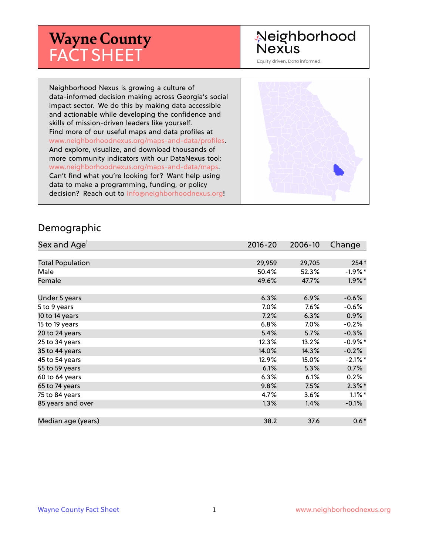# **Wayne County** FACT SHEET

## Neighborhood **Nexus**

Equity driven. Data informed.

Neighborhood Nexus is growing a culture of data-informed decision making across Georgia's social impact sector. We do this by making data accessible and actionable while developing the confidence and skills of mission-driven leaders like yourself. Find more of our useful maps and data profiles at www.neighborhoodnexus.org/maps-and-data/profiles. And explore, visualize, and download thousands of more community indicators with our DataNexus tool: www.neighborhoodnexus.org/maps-and-data/maps. Can't find what you're looking for? Want help using data to make a programming, funding, or policy decision? Reach out to [info@neighborhoodnexus.org!](mailto:info@neighborhoodnexus.org)



#### Demographic

| Sex and Age <sup>1</sup> | $2016 - 20$ | 2006-10 | Change     |
|--------------------------|-------------|---------|------------|
|                          |             |         |            |
| <b>Total Population</b>  | 29,959      | 29,705  | $254+$     |
| Male                     | 50.4%       | 52.3%   | $-1.9\%$ * |
| Female                   | 49.6%       | 47.7%   | $1.9\%$ *  |
|                          |             |         |            |
| Under 5 years            | 6.3%        | 6.9%    | $-0.6%$    |
| 5 to 9 years             | 7.0%        | 7.6%    | $-0.6%$    |
| 10 to 14 years           | 7.2%        | 6.3%    | $0.9\%$    |
| 15 to 19 years           | 6.8%        | 7.0%    | $-0.2%$    |
| 20 to 24 years           | 5.4%        | 5.7%    | $-0.3%$    |
| 25 to 34 years           | 12.3%       | 13.2%   | $-0.9%$ *  |
| 35 to 44 years           | 14.0%       | 14.3%   | $-0.2%$    |
| 45 to 54 years           | 12.9%       | 15.0%   | $-2.1\%$ * |
| 55 to 59 years           | 6.1%        | 5.3%    | 0.7%       |
| 60 to 64 years           | 6.3%        | 6.1%    | 0.2%       |
| 65 to 74 years           | 9.8%        | 7.5%    | $2.3\%$ *  |
| 75 to 84 years           | 4.7%        | 3.6%    | $1.1\%$ *  |
| 85 years and over        | 1.3%        | 1.4%    | $-0.1\%$   |
|                          |             |         |            |
| Median age (years)       | 38.2        | 37.6    | $0.6*$     |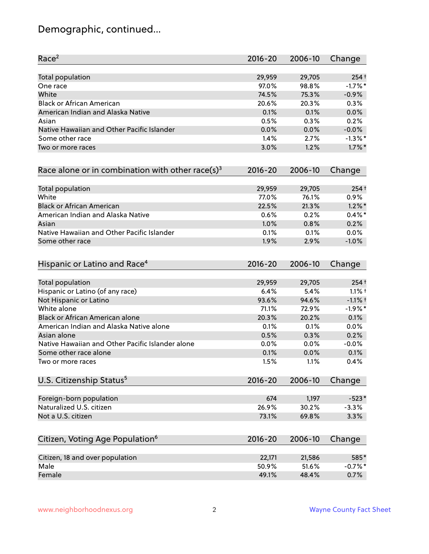# Demographic, continued...

| Race <sup>2</sup>                                            | $2016 - 20$ | 2006-10 | Change     |
|--------------------------------------------------------------|-------------|---------|------------|
| <b>Total population</b>                                      | 29,959      | 29,705  | $254+$     |
| One race                                                     | 97.0%       | 98.8%   | $-1.7%$ *  |
| White                                                        | 74.5%       | 75.3%   | $-0.9%$    |
| <b>Black or African American</b>                             | 20.6%       | 20.3%   | 0.3%       |
| American Indian and Alaska Native                            | 0.1%        | 0.1%    | 0.0%       |
| Asian                                                        | 0.5%        | 0.3%    | 0.2%       |
| Native Hawaiian and Other Pacific Islander                   | 0.0%        | 0.0%    | $-0.0%$    |
| Some other race                                              | 1.4%        | 2.7%    | $-1.3\%$ * |
| Two or more races                                            | 3.0%        | 1.2%    | $1.7\%$ *  |
| Race alone or in combination with other race(s) <sup>3</sup> | $2016 - 20$ | 2006-10 | Change     |
| Total population                                             | 29,959      | 29,705  | $254+$     |
| White                                                        | 77.0%       | 76.1%   | 0.9%       |
| <b>Black or African American</b>                             | 22.5%       | 21.3%   | $1.2\%$ *  |
| American Indian and Alaska Native                            | 0.6%        | 0.2%    | $0.4\%$ *  |
| Asian                                                        | 1.0%        | 0.8%    | 0.2%       |
| Native Hawaiian and Other Pacific Islander                   | 0.1%        | 0.1%    | 0.0%       |
| Some other race                                              | 1.9%        | 2.9%    | $-1.0%$    |
| Hispanic or Latino and Race <sup>4</sup>                     | $2016 - 20$ | 2006-10 | Change     |
| <b>Total population</b>                                      | 29,959      | 29,705  | $254+$     |
| Hispanic or Latino (of any race)                             | 6.4%        | 5.4%    | $1.1%$ †   |
| Not Hispanic or Latino                                       | 93.6%       | 94.6%   | $-1.1%$ +  |
| White alone                                                  | 71.1%       | 72.9%   | $-1.9%$ *  |
| Black or African American alone                              | 20.3%       | 20.2%   | 0.1%       |
| American Indian and Alaska Native alone                      | 0.1%        | 0.1%    | 0.0%       |
| Asian alone                                                  | 0.5%        | 0.3%    | 0.2%       |
| Native Hawaiian and Other Pacific Islander alone             | 0.0%        | 0.0%    | $-0.0%$    |
| Some other race alone                                        | 0.1%        | 0.0%    | 0.1%       |
| Two or more races                                            | 1.5%        | 1.1%    | 0.4%       |
| U.S. Citizenship Status <sup>5</sup>                         | $2016 - 20$ | 2006-10 | Change     |
| Foreign-born population                                      | 674         | 1,197   | $-523*$    |
| Naturalized U.S. citizen                                     | 26.9%       | 30.2%   | $-3.3%$    |
| Not a U.S. citizen                                           | 73.1%       | 69.8%   | 3.3%       |
| Citizen, Voting Age Population <sup>6</sup>                  | $2016 - 20$ | 2006-10 | Change     |
| Citizen, 18 and over population                              | 22,171      | 21,586  | 585*       |
| Male                                                         | 50.9%       | 51.6%   | $-0.7%$ *  |
| Female                                                       | 49.1%       | 48.4%   | 0.7%       |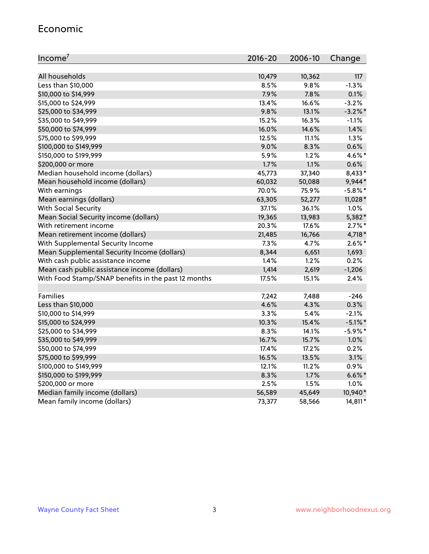#### Economic

| Income <sup>7</sup>                                 | $2016 - 20$ | 2006-10 | Change     |
|-----------------------------------------------------|-------------|---------|------------|
|                                                     |             |         |            |
| All households                                      | 10,479      | 10,362  | 117        |
| Less than \$10,000                                  | 8.5%        | 9.8%    | $-1.3%$    |
| \$10,000 to \$14,999                                | 7.9%        | 7.8%    | 0.1%       |
| \$15,000 to \$24,999                                | 13.4%       | 16.6%   | $-3.2%$    |
| \$25,000 to \$34,999                                | 9.8%        | 13.1%   | $-3.2%$ *  |
| \$35,000 to \$49,999                                | 15.2%       | 16.3%   | $-1.1%$    |
| \$50,000 to \$74,999                                | 16.0%       | 14.6%   | 1.4%       |
| \$75,000 to \$99,999                                | 12.5%       | 11.1%   | 1.3%       |
| \$100,000 to \$149,999                              | 9.0%        | 8.3%    | 0.6%       |
| \$150,000 to \$199,999                              | 5.9%        | 1.2%    | 4.6%*      |
| \$200,000 or more                                   | 1.7%        | 1.1%    | 0.6%       |
| Median household income (dollars)                   | 45,773      | 37,340  | 8,433*     |
| Mean household income (dollars)                     | 60,032      | 50,088  | 9,944*     |
| With earnings                                       | 70.0%       | 75.9%   | $-5.8\%$ * |
| Mean earnings (dollars)                             | 63,305      | 52,277  | 11,028*    |
| <b>With Social Security</b>                         | 37.1%       | 36.1%   | 1.0%       |
| Mean Social Security income (dollars)               | 19,365      | 13,983  | 5,382*     |
| With retirement income                              | 20.3%       | 17.6%   | $2.7\%$ *  |
| Mean retirement income (dollars)                    | 21,485      | 16,766  | 4,718 *    |
| With Supplemental Security Income                   | $7.3\%$     | 4.7%    | $2.6\%$ *  |
| Mean Supplemental Security Income (dollars)         | 8,344       | 6,651   | 1,693      |
| With cash public assistance income                  | 1.4%        | 1.2%    | 0.2%       |
| Mean cash public assistance income (dollars)        | 1,414       | 2,619   | $-1,206$   |
| With Food Stamp/SNAP benefits in the past 12 months | 17.5%       | 15.1%   | 2.4%       |
|                                                     |             |         |            |
| Families                                            | 7,242       | 7,488   | $-246$     |
| Less than \$10,000                                  | 4.6%        | 4.3%    | 0.3%       |
| \$10,000 to \$14,999                                | 3.3%        | 5.4%    | $-2.1%$    |
| \$15,000 to \$24,999                                | 10.3%       | 15.4%   | $-5.1\%$ * |
| \$25,000 to \$34,999                                | 8.3%        | 14.1%   | $-5.9%$ *  |
| \$35,000 to \$49,999                                | 16.7%       | 15.7%   | 1.0%       |
| \$50,000 to \$74,999                                | 17.4%       | 17.2%   | 0.2%       |
| \$75,000 to \$99,999                                | 16.5%       | 13.5%   | 3.1%       |
| \$100,000 to \$149,999                              | 12.1%       | 11.2%   | 0.9%       |
| \$150,000 to \$199,999                              | 8.3%        | 1.7%    | $6.6\%$ *  |
| \$200,000 or more                                   | 2.5%        | 1.5%    | 1.0%       |
| Median family income (dollars)                      | 56,589      | 45,649  | 10,940*    |
| Mean family income (dollars)                        | 73,377      | 58,566  | 14,811*    |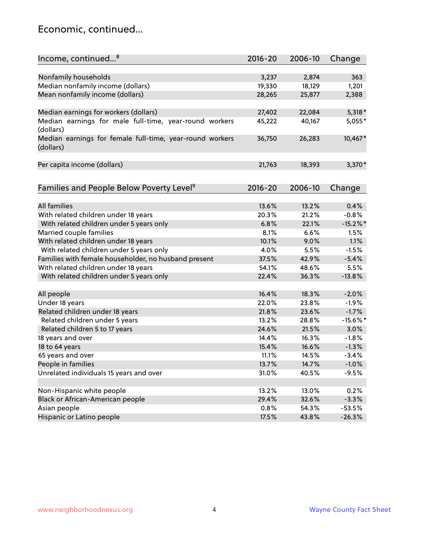### Economic, continued...

| Income, continued <sup>8</sup>                                        | $2016 - 20$ | 2006-10 | Change      |
|-----------------------------------------------------------------------|-------------|---------|-------------|
|                                                                       |             |         |             |
| Nonfamily households                                                  | 3,237       | 2,874   | 363         |
| Median nonfamily income (dollars)                                     | 19,330      | 18,129  | 1,201       |
| Mean nonfamily income (dollars)                                       | 28,265      | 25,877  | 2,388       |
| Median earnings for workers (dollars)                                 | 27,402      | 22,084  | $5,318*$    |
| Median earnings for male full-time, year-round workers                | 45,222      | 40,167  | 5,055*      |
| (dollars)                                                             |             |         |             |
| Median earnings for female full-time, year-round workers<br>(dollars) | 36,750      | 26,283  | 10,467*     |
| Per capita income (dollars)                                           | 21,763      | 18,393  | 3,370*      |
|                                                                       |             |         |             |
| Families and People Below Poverty Level <sup>9</sup>                  | 2016-20     | 2006-10 | Change      |
|                                                                       |             |         |             |
| <b>All families</b>                                                   | 13.6%       | 13.2%   | 0.4%        |
| With related children under 18 years                                  | 20.3%       | 21.2%   | $-0.8%$     |
| With related children under 5 years only                              | 6.8%        | 22.1%   | $-15.2\%$ * |
| Married couple families                                               | 8.1%        | 6.6%    | 1.5%        |
| With related children under 18 years                                  | 10.1%       | 9.0%    | 1.1%        |
| With related children under 5 years only                              | 4.0%        | 5.5%    | $-1.5%$     |
| Families with female householder, no husband present                  | 37.5%       | 42.9%   | $-5.4%$     |
| With related children under 18 years                                  | 54.1%       | 48.6%   | 5.5%        |
| With related children under 5 years only                              | 22.4%       | 36.3%   | $-13.8%$    |
| All people                                                            | 16.4%       | 18.3%   | $-2.0%$     |
| Under 18 years                                                        | 22.0%       | 23.8%   | $-1.9%$     |
| Related children under 18 years                                       | 21.8%       | 23.6%   | $-1.7%$     |
| Related children under 5 years                                        | 13.2%       | 28.8%   | $-15.6\%$ * |
| Related children 5 to 17 years                                        | 24.6%       | 21.5%   | 3.0%        |
| 18 years and over                                                     | 14.4%       | 16.3%   | $-1.8%$     |
| 18 to 64 years                                                        | 15.4%       | 16.6%   | $-1.3%$     |
| 65 years and over                                                     | 11.1%       | 14.5%   | $-3.4%$     |
|                                                                       |             |         |             |
| People in families                                                    | 13.7%       | 14.7%   | $-1.0%$     |
| Unrelated individuals 15 years and over                               | 31.0%       | 40.5%   | $-9.5%$     |
|                                                                       | 13.2%       | 13.0%   | 0.2%        |
| Non-Hispanic white people                                             | 29.4%       |         |             |
| Black or African-American people                                      |             | 32.6%   | $-3.3%$     |
| Asian people                                                          | 0.8%        | 54.3%   | $-53.5%$    |
| Hispanic or Latino people                                             | 17.5%       | 43.8%   | $-26.3%$    |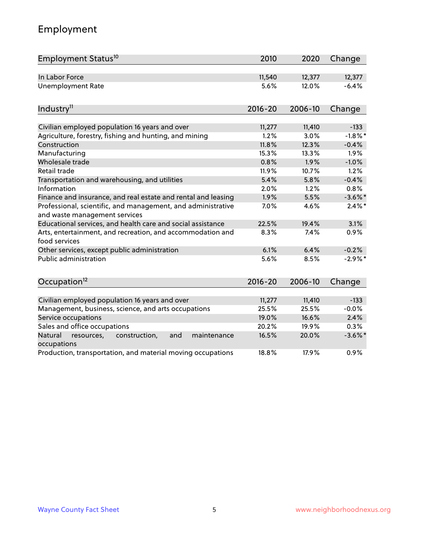# Employment

| Employment Status <sup>10</sup>                                                               | 2010        | 2020    | Change     |
|-----------------------------------------------------------------------------------------------|-------------|---------|------------|
| In Labor Force                                                                                | 11,540      | 12,377  | 12,377     |
| <b>Unemployment Rate</b>                                                                      | 5.6%        | 12.0%   | $-6.4%$    |
| Industry <sup>11</sup>                                                                        | $2016 - 20$ | 2006-10 | Change     |
|                                                                                               |             |         |            |
| Civilian employed population 16 years and over                                                | 11,277      | 11,410  | $-133$     |
| Agriculture, forestry, fishing and hunting, and mining                                        | 1.2%        | 3.0%    | $-1.8\%$ * |
| Construction                                                                                  | 11.8%       | 12.3%   | $-0.4%$    |
| Manufacturing                                                                                 | 15.3%       | 13.3%   | 1.9%       |
| Wholesale trade                                                                               | 0.8%        | 1.9%    | $-1.0%$    |
| Retail trade                                                                                  | 11.9%       | 10.7%   | 1.2%       |
| Transportation and warehousing, and utilities                                                 | 5.4%        | 5.8%    | $-0.4%$    |
| Information                                                                                   | 2.0%        | 1.2%    | 0.8%       |
| Finance and insurance, and real estate and rental and leasing                                 | 1.9%        | 5.5%    | $-3.6\%$ * |
| Professional, scientific, and management, and administrative<br>and waste management services | 7.0%        | 4.6%    | $2.4\%$ *  |
| Educational services, and health care and social assistance                                   | 22.5%       | 19.4%   | 3.1%       |
| Arts, entertainment, and recreation, and accommodation and<br>food services                   | 8.3%        | 7.4%    | 0.9%       |
| Other services, except public administration                                                  | 6.1%        | 6.4%    | $-0.2%$    |
| <b>Public administration</b>                                                                  | 5.6%        | 8.5%    | $-2.9\%$ * |
| Occupation <sup>12</sup>                                                                      | $2016 - 20$ | 2006-10 | Change     |
|                                                                                               |             |         |            |
| Civilian employed population 16 years and over                                                | 11,277      | 11,410  | $-133$     |
| Management, business, science, and arts occupations                                           | 25.5%       | 25.5%   | $-0.0%$    |
| Service occupations                                                                           | 19.0%       | 16.6%   | 2.4%       |
| Sales and office occupations                                                                  | 20.2%       | 19.9%   | 0.3%       |
| Natural<br>resources,<br>construction,<br>and<br>maintenance<br>occupations                   | 16.5%       | 20.0%   | $-3.6\%$ * |
| Production, transportation, and material moving occupations                                   | 18.8%       | 17.9%   | 0.9%       |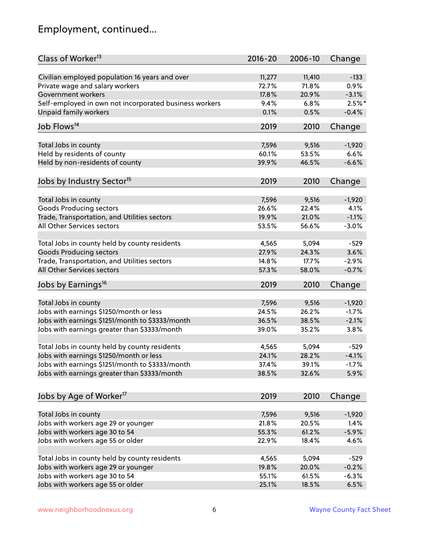# Employment, continued...

| Class of Worker <sup>13</sup>                          | $2016 - 20$    | 2006-10 | Change    |
|--------------------------------------------------------|----------------|---------|-----------|
| Civilian employed population 16 years and over         | 11,277         | 11,410  | $-133$    |
| Private wage and salary workers                        | 72.7%          | 71.8%   | 0.9%      |
| Government workers                                     | 17.8%          | 20.9%   | $-3.1%$   |
| Self-employed in own not incorporated business workers | 9.4%           | 6.8%    | $2.5\%$ * |
| <b>Unpaid family workers</b>                           | 0.1%           | 0.5%    | $-0.4%$   |
|                                                        |                |         |           |
| Job Flows <sup>14</sup>                                | 2019           | 2010    | Change    |
| Total Jobs in county                                   | 7,596          | 9,516   | $-1,920$  |
| Held by residents of county                            | 60.1%          | 53.5%   | 6.6%      |
| Held by non-residents of county                        | 39.9%          | 46.5%   | $-6.6%$   |
|                                                        |                |         |           |
| Jobs by Industry Sector <sup>15</sup>                  | 2019           | 2010    | Change    |
| Total Jobs in county                                   | 7,596          | 9,516   | $-1,920$  |
| <b>Goods Producing sectors</b>                         | 26.6%          | 22.4%   | 4.1%      |
| Trade, Transportation, and Utilities sectors           | 19.9%          | 21.0%   | $-1.1%$   |
| All Other Services sectors                             | 53.5%          | 56.6%   | $-3.0%$   |
|                                                        |                |         |           |
| Total Jobs in county held by county residents          | 4,565          | 5,094   | $-529$    |
| <b>Goods Producing sectors</b>                         | 27.9%          | 24.3%   | 3.6%      |
| Trade, Transportation, and Utilities sectors           | 14.8%          | 17.7%   | $-2.9%$   |
| All Other Services sectors                             | 57.3%          | 58.0%   | $-0.7%$   |
| Jobs by Earnings <sup>16</sup>                         | 2019           | 2010    | Change    |
|                                                        |                |         |           |
| Total Jobs in county                                   | 7,596          | 9,516   | $-1,920$  |
| Jobs with earnings \$1250/month or less                | 24.5%          | 26.2%   | $-1.7%$   |
| Jobs with earnings \$1251/month to \$3333/month        | 36.5%          | 38.5%   | $-2.1%$   |
| Jobs with earnings greater than \$3333/month           | 39.0%          | 35.2%   | 3.8%      |
| Total Jobs in county held by county residents          | 4,565          | 5,094   | $-529$    |
| Jobs with earnings \$1250/month or less                | 24.1%          | 28.2%   | $-4.1%$   |
| Jobs with earnings \$1251/month to \$3333/month        | 37.4%          | 39.1%   | $-1.7\%$  |
| Jobs with earnings greater than \$3333/month           | 38.5%          | 32.6%   | 5.9%      |
|                                                        |                |         |           |
| Jobs by Age of Worker <sup>17</sup>                    | 2019           | 2010    | Change    |
| Total Jobs in county                                   |                |         |           |
|                                                        | 7,596<br>21.8% | 9,516   | $-1,920$  |
| Jobs with workers age 29 or younger                    |                | 20.5%   | 1.4%      |
| Jobs with workers age 30 to 54                         | 55.3%          | 61.2%   | $-5.9%$   |
| Jobs with workers age 55 or older                      | 22.9%          | 18.4%   | 4.6%      |
| Total Jobs in county held by county residents          | 4,565          | 5,094   | $-529$    |
| Jobs with workers age 29 or younger                    | 19.8%          | 20.0%   | $-0.2%$   |
| Jobs with workers age 30 to 54                         | 55.1%          | 61.5%   | $-6.3%$   |
| Jobs with workers age 55 or older                      | 25.1%          | 18.5%   | 6.5%      |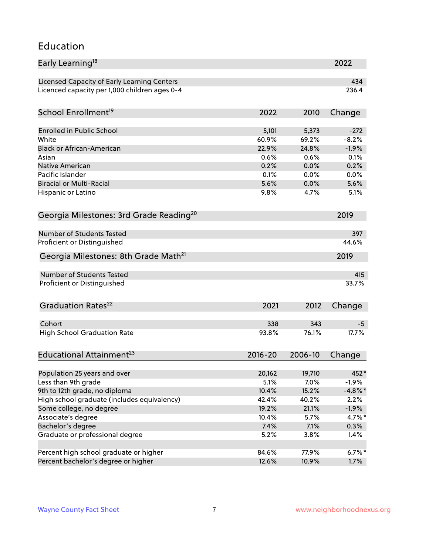### Education

| Early Learning <sup>18</sup>                        |                |                | 2022              |
|-----------------------------------------------------|----------------|----------------|-------------------|
| Licensed Capacity of Early Learning Centers         |                |                | 434               |
| Licenced capacity per 1,000 children ages 0-4       |                |                | 236.4             |
| School Enrollment <sup>19</sup>                     | 2022           | 2010           | Change            |
|                                                     |                |                |                   |
| <b>Enrolled in Public School</b>                    | 5,101<br>60.9% | 5,373<br>69.2% | $-272$<br>$-8.2%$ |
| White                                               |                |                |                   |
| <b>Black or African-American</b>                    | 22.9%          | 24.8%          | $-1.9%$           |
| Asian                                               | 0.6%<br>0.2%   | 0.6%           | 0.1%<br>0.2%      |
| Native American<br>Pacific Islander                 |                | 0.0%           |                   |
| <b>Biracial or Multi-Racial</b>                     | 0.1%<br>5.6%   | 0.0%<br>0.0%   | 0.0%<br>5.6%      |
|                                                     |                |                |                   |
| Hispanic or Latino                                  | 9.8%           | 4.7%           | 5.1%              |
| Georgia Milestones: 3rd Grade Reading <sup>20</sup> |                |                | 2019              |
| Number of Students Tested                           |                |                | 397               |
| Proficient or Distinguished                         |                |                | 44.6%             |
| Georgia Milestones: 8th Grade Math <sup>21</sup>    |                |                | 2019              |
|                                                     |                |                |                   |
| <b>Number of Students Tested</b>                    |                |                | 415               |
| Proficient or Distinguished                         |                |                | 33.7%             |
| Graduation Rates <sup>22</sup>                      | 2021           | 2012           | Change            |
|                                                     |                |                |                   |
| Cohort                                              | 338            | 343            | $-5$              |
| <b>High School Graduation Rate</b>                  | 93.8%          | 76.1%          | 17.7%             |
| Educational Attainment <sup>23</sup>                | $2016 - 20$    | 2006-10        | Change            |
| Population 25 years and over                        | 20,162         | 19,710         | 452*              |
| Less than 9th grade                                 | 5.1%           | 7.0%           | $-1.9%$           |
| 9th to 12th grade, no diploma                       | 10.4%          | 15.2%          | $-4.8\%$ *        |
| High school graduate (includes equivalency)         | 42.4%          | 40.2%          | 2.2%              |
| Some college, no degree                             | 19.2%          | 21.1%          | $-1.9%$           |
| Associate's degree                                  | 10.4%          | 5.7%           | $4.7\%$ *         |
|                                                     | 7.4%           | 7.1%           |                   |
| Bachelor's degree                                   |                |                | $0.3\%$           |
| Graduate or professional degree                     | 5.2%           | 3.8%           | 1.4%              |
| Percent high school graduate or higher              | 84.6%          | 77.9%          | $6.7\%$ *         |
| Percent bachelor's degree or higher                 | 12.6%          | 10.9%          | 1.7%              |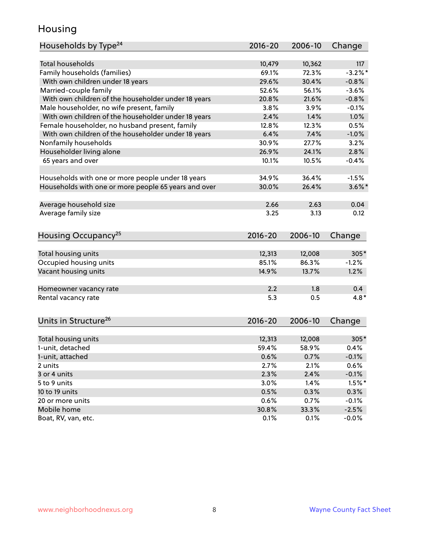### Housing

| Households by Type <sup>24</sup>                     | 2016-20     | 2006-10 | Change    |
|------------------------------------------------------|-------------|---------|-----------|
|                                                      |             |         |           |
| <b>Total households</b>                              | 10,479      | 10,362  | 117       |
| Family households (families)                         | 69.1%       | 72.3%   | $-3.2%$ * |
| With own children under 18 years                     | 29.6%       | 30.4%   | $-0.8%$   |
| Married-couple family                                | 52.6%       | 56.1%   | $-3.6%$   |
| With own children of the householder under 18 years  | 20.8%       | 21.6%   | $-0.8%$   |
| Male householder, no wife present, family            | 3.8%        | 3.9%    | $-0.1%$   |
| With own children of the householder under 18 years  | 2.4%        | 1.4%    | 1.0%      |
| Female householder, no husband present, family       | 12.8%       | 12.3%   | 0.5%      |
| With own children of the householder under 18 years  | 6.4%        | 7.4%    | $-1.0%$   |
| Nonfamily households                                 | 30.9%       | 27.7%   | 3.2%      |
| Householder living alone                             | 26.9%       | 24.1%   | 2.8%      |
| 65 years and over                                    | 10.1%       | 10.5%   | $-0.4%$   |
|                                                      |             |         |           |
| Households with one or more people under 18 years    | 34.9%       | 36.4%   | $-1.5%$   |
| Households with one or more people 65 years and over | 30.0%       | 26.4%   | $3.6\%$ * |
|                                                      |             |         |           |
| Average household size                               | 2.66        | 2.63    | 0.04      |
| Average family size                                  | 3.25        | 3.13    | 0.12      |
|                                                      |             |         |           |
| Housing Occupancy <sup>25</sup>                      | 2016-20     | 2006-10 | Change    |
|                                                      |             |         |           |
| Total housing units                                  | 12,313      | 12,008  | 305*      |
| Occupied housing units                               | 85.1%       | 86.3%   | $-1.2%$   |
| Vacant housing units                                 | 14.9%       | 13.7%   | 1.2%      |
|                                                      |             |         |           |
| Homeowner vacancy rate                               | 2.2         | 1.8     | 0.4       |
| Rental vacancy rate                                  | 5.3         | 0.5     | $4.8*$    |
|                                                      |             |         |           |
| Units in Structure <sup>26</sup>                     |             |         |           |
|                                                      | $2016 - 20$ | 2006-10 | Change    |
| Total housing units                                  | 12,313      | 12,008  | $305*$    |
| 1-unit, detached                                     | 59.4%       | 58.9%   | 0.4%      |
| 1-unit, attached                                     | 0.6%        | 0.7%    | $-0.1%$   |
| 2 units                                              | 2.7%        | 2.1%    | 0.6%      |
| 3 or 4 units                                         | 2.3%        | 2.4%    | $-0.1%$   |
| 5 to 9 units                                         | 3.0%        | 1.4%    | $1.5%$ *  |
| 10 to 19 units                                       | 0.5%        | 0.3%    | 0.3%      |
| 20 or more units                                     | 0.6%        | 0.7%    | $-0.1%$   |
| Mobile home                                          | 30.8%       | 33.3%   | $-2.5%$   |
| Boat, RV, van, etc.                                  | 0.1%        | 0.1%    | $-0.0\%$  |
|                                                      |             |         |           |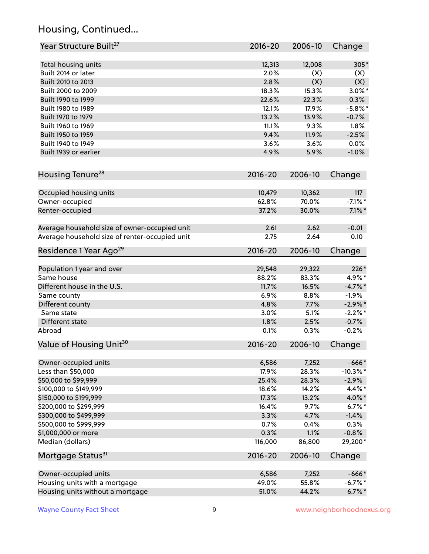# Housing, Continued...

| Year Structure Built <sup>27</sup>             | 2016-20     | 2006-10 | Change      |
|------------------------------------------------|-------------|---------|-------------|
| Total housing units                            | 12,313      | 12,008  | $305*$      |
| Built 2014 or later                            | 2.0%        | (X)     | (X)         |
| Built 2010 to 2013                             | 2.8%        | (X)     | (X)         |
| Built 2000 to 2009                             | 18.3%       | 15.3%   | $3.0\%$ *   |
| Built 1990 to 1999                             | 22.6%       | 22.3%   | 0.3%        |
| Built 1980 to 1989                             | 12.1%       | 17.9%   | $-5.8\%$ *  |
| Built 1970 to 1979                             | 13.2%       | 13.9%   | $-0.7%$     |
| Built 1960 to 1969                             | 11.1%       | 9.3%    | 1.8%        |
| Built 1950 to 1959                             | 9.4%        | 11.9%   | $-2.5%$     |
| Built 1940 to 1949                             | 3.6%        | 3.6%    | 0.0%        |
| Built 1939 or earlier                          | 4.9%        | 5.9%    | $-1.0%$     |
| Housing Tenure <sup>28</sup>                   | 2016-20     | 2006-10 | Change      |
|                                                |             |         |             |
| Occupied housing units                         | 10,479      | 10,362  | 117         |
| Owner-occupied                                 | 62.8%       | 70.0%   | $-7.1\%$ *  |
| Renter-occupied                                | 37.2%       | 30.0%   | $7.1\%$ *   |
| Average household size of owner-occupied unit  | 2.61        | 2.62    | $-0.01$     |
| Average household size of renter-occupied unit | 2.75        | 2.64    | 0.10        |
| Residence 1 Year Ago <sup>29</sup>             | 2016-20     | 2006-10 | Change      |
| Population 1 year and over                     | 29,548      | 29,322  | 226*        |
| Same house                                     | 88.2%       | 83.3%   | 4.9%*       |
| Different house in the U.S.                    | 11.7%       | 16.5%   | $-4.7%$ *   |
| Same county                                    | 6.9%        | 8.8%    | $-1.9%$     |
| Different county                               | 4.8%        | 7.7%    | $-2.9\%$ *  |
| Same state                                     | 3.0%        | 5.1%    | $-2.2%$ *   |
| Different state                                | 1.8%        | 2.5%    | $-0.7%$     |
| Abroad                                         | 0.1%        | 0.3%    | $-0.2%$     |
| Value of Housing Unit <sup>30</sup>            | 2016-20     | 2006-10 | Change      |
|                                                |             |         |             |
| Owner-occupied units                           | 6,586       | 7,252   | $-666*$     |
| Less than \$50,000                             | 17.9%       | 28.3%   | $-10.3\%$ * |
| \$50,000 to \$99,999                           | 25.4%       | 28.3%   | $-2.9%$     |
| \$100,000 to \$149,999                         | 18.6%       | 14.2%   | 4.4%*       |
| \$150,000 to \$199,999                         | 17.3%       | 13.2%   | 4.0%*       |
| \$200,000 to \$299,999                         | 16.4%       | 9.7%    | $6.7\%$ *   |
| \$300,000 to \$499,999                         | 3.3%        | 4.7%    | $-1.4%$     |
| \$500,000 to \$999,999                         | 0.7%        | 0.4%    | 0.3%        |
| \$1,000,000 or more                            | 0.3%        | 1.1%    | $-0.8%$     |
| Median (dollars)                               | 116,000     | 86,800  | 29,200*     |
| Mortgage Status <sup>31</sup>                  | $2016 - 20$ | 2006-10 | Change      |
| Owner-occupied units                           | 6,586       | 7,252   | $-666*$     |
| Housing units with a mortgage                  | 49.0%       | 55.8%   | $-6.7%$ *   |
| Housing units without a mortgage               | 51.0%       | 44.2%   | $6.7\%$ *   |
|                                                |             |         |             |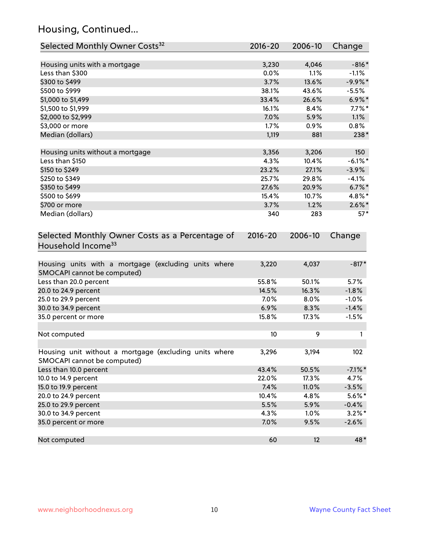# Housing, Continued...

| Selected Monthly Owner Costs <sup>32</sup>                                            | $2016 - 20$ | 2006-10 | Change     |
|---------------------------------------------------------------------------------------|-------------|---------|------------|
| Housing units with a mortgage                                                         | 3,230       | 4,046   | $-816*$    |
| Less than \$300                                                                       | 0.0%        | 1.1%    | $-1.1%$    |
| \$300 to \$499                                                                        | 3.7%        | 13.6%   | $-9.9\%$ * |
| \$500 to \$999                                                                        | 38.1%       | 43.6%   | $-5.5%$    |
| \$1,000 to \$1,499                                                                    | 33.4%       | 26.6%   | $6.9\%$ *  |
| \$1,500 to \$1,999                                                                    | 16.1%       | 8.4%    | $7.7\%$ *  |
| \$2,000 to \$2,999                                                                    | 7.0%        | 5.9%    | 1.1%       |
| \$3,000 or more                                                                       | 1.7%        | 0.9%    | 0.8%       |
| Median (dollars)                                                                      | 1,119       | 881     | 238*       |
| Housing units without a mortgage                                                      | 3,356       | 3,206   | 150        |
| Less than \$150                                                                       | 4.3%        | 10.4%   | $-6.1\%$ * |
| \$150 to \$249                                                                        | 23.2%       | 27.1%   | $-3.9%$    |
| \$250 to \$349                                                                        | 25.7%       | 29.8%   | $-4.1%$    |
| \$350 to \$499                                                                        | 27.6%       | 20.9%   | $6.7\%$ *  |
| \$500 to \$699                                                                        | 15.4%       | 10.7%   | 4.8%*      |
| \$700 or more                                                                         | 3.7%        | 1.2%    | $2.6\%$ *  |
| Median (dollars)                                                                      | 340         | 283     | $57*$      |
| Selected Monthly Owner Costs as a Percentage of<br>Household Income <sup>33</sup>     | $2016 - 20$ | 2006-10 | Change     |
| Housing units with a mortgage (excluding units where<br>SMOCAPI cannot be computed)   | 3,220       | 4,037   | $-817*$    |
| Less than 20.0 percent                                                                | 55.8%       | 50.1%   | 5.7%       |
| 20.0 to 24.9 percent                                                                  | 14.5%       | 16.3%   | $-1.8%$    |
| 25.0 to 29.9 percent                                                                  | 7.0%        | 8.0%    | $-1.0%$    |
| 30.0 to 34.9 percent                                                                  | 6.9%        | 8.3%    | $-1.4%$    |
| 35.0 percent or more                                                                  | 15.8%       | 17.3%   | $-1.5%$    |
| Not computed                                                                          | 10          | 9       |            |
| Housing unit without a mortgage (excluding units where<br>SMOCAPI cannot be computed) | 3,296       | 3,194   | 102        |
| Less than 10.0 percent                                                                | 43.4%       | 50.5%   | $-7.1\%$ * |
| 10.0 to 14.9 percent                                                                  | 22.0%       | 17.3%   | 4.7%       |
| 15.0 to 19.9 percent                                                                  | 7.4%        | 11.0%   | $-3.5%$    |
| 20.0 to 24.9 percent                                                                  | 10.4%       | 4.8%    | $5.6\%*$   |
| 25.0 to 29.9 percent                                                                  | 5.5%        | 5.9%    | $-0.4%$    |
| 30.0 to 34.9 percent                                                                  | 4.3%        | 1.0%    | $3.2\%$ *  |
| 35.0 percent or more                                                                  | 7.0%        | 9.5%    | $-2.6%$    |
| Not computed                                                                          | 60          | 12      | 48*        |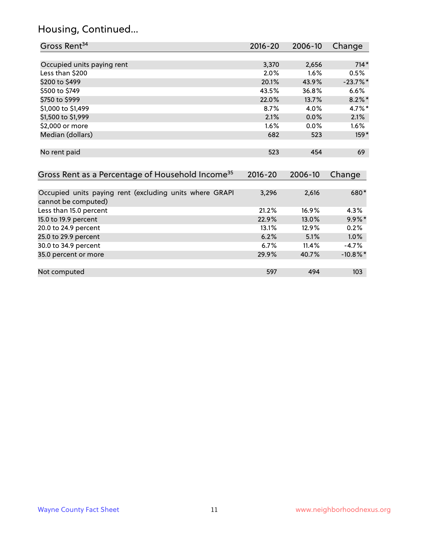# Housing, Continued...

| Gross Rent <sup>34</sup>                                                       | 2016-20     | 2006-10 | Change      |
|--------------------------------------------------------------------------------|-------------|---------|-------------|
|                                                                                |             |         |             |
| Occupied units paying rent                                                     | 3,370       | 2,656   | $714*$      |
| Less than \$200                                                                | 2.0%        | 1.6%    | 0.5%        |
| \$200 to \$499                                                                 | 20.1%       | 43.9%   | $-23.7%$ *  |
| \$500 to \$749                                                                 | 43.5%       | 36.8%   | 6.6%        |
| \$750 to \$999                                                                 | 22.0%       | 13.7%   | $8.2\%$ *   |
| \$1,000 to \$1,499                                                             | 8.7%        | 4.0%    | 4.7%*       |
| \$1,500 to \$1,999                                                             | 2.1%        | 0.0%    | 2.1%        |
| \$2,000 or more                                                                | 1.6%        | 0.0%    | 1.6%        |
| Median (dollars)                                                               | 682         | 523     | $159*$      |
| No rent paid                                                                   | 523         | 454     | 69          |
| Gross Rent as a Percentage of Household Income <sup>35</sup>                   | $2016 - 20$ | 2006-10 | Change      |
| Occupied units paying rent (excluding units where GRAPI<br>cannot be computed) | 3,296       | 2,616   | 680*        |
| Less than 15.0 percent                                                         | 21.2%       | 16.9%   | 4.3%        |
| 15.0 to 19.9 percent                                                           | 22.9%       | 13.0%   | $9.9\%*$    |
| 20.0 to 24.9 percent                                                           | 13.1%       | 12.9%   | 0.2%        |
| 25.0 to 29.9 percent                                                           | 6.2%        | 5.1%    | 1.0%        |
| 30.0 to 34.9 percent                                                           | 6.7%        | 11.4%   | $-4.7%$     |
| 35.0 percent or more                                                           | 29.9%       | 40.7%   | $-10.8\%$ * |
| Not computed                                                                   | 597         | 494     | 103         |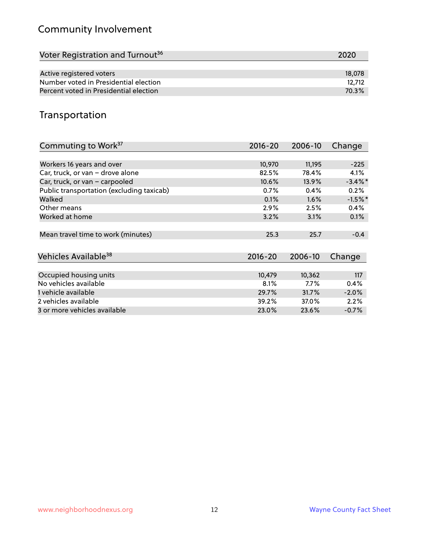# Community Involvement

| Voter Registration and Turnout <sup>36</sup> | 2020   |
|----------------------------------------------|--------|
|                                              |        |
| Active registered voters                     | 18,078 |
| Number voted in Presidential election        | 12.712 |
| Percent voted in Presidential election       | 70.3%  |

## Transportation

| Commuting to Work <sup>37</sup>           | 2016-20     | 2006-10 | Change     |
|-------------------------------------------|-------------|---------|------------|
|                                           |             |         |            |
| Workers 16 years and over                 | 10,970      | 11,195  | $-225$     |
| Car, truck, or van - drove alone          | 82.5%       | 78.4%   | 4.1%       |
| Car, truck, or van - carpooled            | 10.6%       | 13.9%   | $-3.4\%$ * |
| Public transportation (excluding taxicab) | 0.7%        | 0.4%    | 0.2%       |
| Walked                                    | 0.1%        | 1.6%    | $-1.5%$ *  |
| Other means                               | 2.9%        | 2.5%    | 0.4%       |
| Worked at home                            | 3.2%        | 3.1%    | 0.1%       |
|                                           |             |         |            |
| Mean travel time to work (minutes)        | 25.3        | 25.7    | $-0.4$     |
|                                           |             |         |            |
| Vehicles Available <sup>38</sup>          | $2016 - 20$ | 2006-10 | Change     |
|                                           |             |         |            |
| Occupied housing units                    | 10,479      | 10,362  | 117        |
| No vehicles available                     | 8.1%        | $7.7\%$ | 0.4%       |
| 1 vehicle available                       | 29.7%       | 31.7%   | $-2.0%$    |
| 2 vehicles available                      | 39.2%       | 37.0%   | 2.2%       |
| 3 or more vehicles available              | 23.0%       | 23.6%   | $-0.7%$    |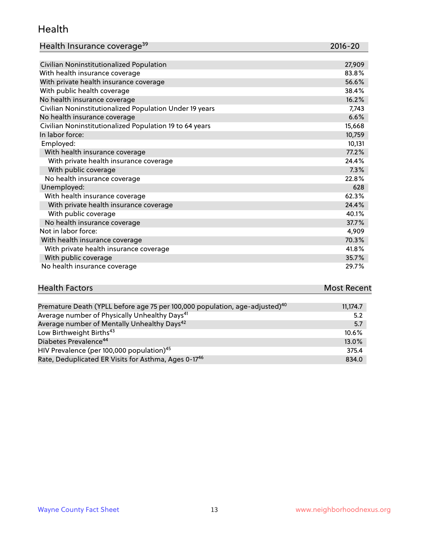#### Health

| Health Insurance coverage <sup>39</sup> | 2016-20 |
|-----------------------------------------|---------|
|-----------------------------------------|---------|

| Civilian Noninstitutionalized Population                | 27,909 |
|---------------------------------------------------------|--------|
| With health insurance coverage                          | 83.8%  |
| With private health insurance coverage                  | 56.6%  |
| With public health coverage                             | 38.4%  |
| No health insurance coverage                            | 16.2%  |
| Civilian Noninstitutionalized Population Under 19 years | 7,743  |
| No health insurance coverage                            | 6.6%   |
| Civilian Noninstitutionalized Population 19 to 64 years | 15,668 |
| In labor force:                                         | 10,759 |
| Employed:                                               | 10,131 |
| With health insurance coverage                          | 77.2%  |
| With private health insurance coverage                  | 24.4%  |
| With public coverage                                    | 7.3%   |
| No health insurance coverage                            | 22.8%  |
| Unemployed:                                             | 628    |
| With health insurance coverage                          | 62.3%  |
| With private health insurance coverage                  | 24.4%  |
| With public coverage                                    | 40.1%  |
| No health insurance coverage                            | 37.7%  |
| Not in labor force:                                     | 4,909  |
| With health insurance coverage                          | 70.3%  |
| With private health insurance coverage                  | 41.8%  |
| With public coverage                                    | 35.7%  |
| No health insurance coverage                            | 29.7%  |

# **Health Factors Most Recent** And The Control of the Control of The Control of The Control of The Control of The Control of The Control of The Control of The Control of The Control of The Control of The Control of The Contr

| Premature Death (YPLL before age 75 per 100,000 population, age-adjusted) <sup>40</sup> | 11,174.7 |
|-----------------------------------------------------------------------------------------|----------|
| Average number of Physically Unhealthy Days <sup>41</sup>                               | 5.2      |
| Average number of Mentally Unhealthy Days <sup>42</sup>                                 | 5.7      |
| Low Birthweight Births <sup>43</sup>                                                    | $10.6\%$ |
| Diabetes Prevalence <sup>44</sup>                                                       | $13.0\%$ |
| HIV Prevalence (per 100,000 population) <sup>45</sup>                                   | 375.4    |
| Rate, Deduplicated ER Visits for Asthma, Ages 0-17 <sup>46</sup>                        | 834.0    |